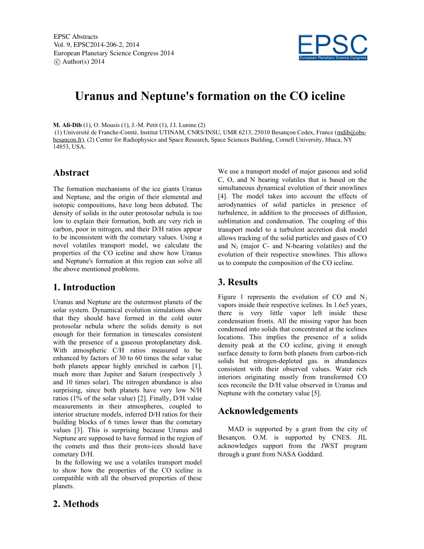EPSC Abstracts Vol. 9, EPSC2014-206-2, 2014 European Planetary Science Congress 2014  $\circ$  Author(s) 2014



# **Uranus and Neptune's formation on the CO iceline**

**M. Ali-Dib** (1), O. Mousis (1), J.-M. Petit (1), J.I. Lunine (2)

(1) Université de Franche-Comté, Institut UTINAM, CNRS/INSU, UMR 6213, 25010 Besançon Cedex, France (mdib@obsbesancon.fr), (2) Center for Radiophysics and Space Research, Space Sciences Building, Cornell University, Ithaca, NY 14853, USA.

#### **Abstract**

The formation mechanisms of the ice giants Uranus and Neptune, and the origin of their elemental and isotopic compositions, have long been debated. The density of solids in the outer protosolar nebula is too low to explain their formation, both are very rich in carbon, poor in nitrogen, and their D/H ratios appear to be inconsistent with the cometary values. Using a novel volatiles transport model, we calculate the properties of the CO iceline and show how Uranus and Neptune's formation at this region can solve all the above mentioned problems.

### **1. Introduction**

Uranus and Neptune are the outermost planets of the solar system. Dynamical evolution simulations show that they should have formed in the cold outer protosolar nebula where the solids density is not enough for their formation in timescales consistent with the presence of a gaseous protoplanetary disk. With atmospheric C/H ratios measured to be enhanced by factors of 30 to 60 times the solar value both planets appear highly enriched in carbon [1], much more than Jupiter and Saturn (respectively 3 and 10 times solar). The nitrogen abundance is also surprising, since both planets have very low N/H ratios (1% of the solar value) [2]. Finally, D/H value measurements in their atmospheres, coupled to interior structure models, inferred D/H ratios for their building blocks of 6 times lower than the cometary values [3]. This is surprising because Uranus and Neptune are supposed to have formed in the region of the comets and thus their proto-ices should have cometary D/H.

In the following we use a volatiles transport model to show how the properties of the CO iceline is compatible with all the observed properties of these planets.

We use a transport model of major gaseous and solid C, O, and N bearing volatiles that is based on the simultaneous dynamical evolution of their snowlines [4]. The model takes into account the effects of aerodynamics of solid particles in presence of turbulence, in addition to the processes of diffusion, sublimation and condensation. The coupling of this transport model to a turbulent accretion disk model allows tracking of the solid particles and gases of CO and  $N_2$  (major C- and N-bearing volatiles) and the evolution of their respective snowlines. This allows us to compute the composition of the CO iceline.

### **3. Results**

Figure 1 represents the evolution of CO and  $N_2$ vapors inside their respective icelines. In 1.6e5 years, there is very little vapor left inside these condensation fronts. All the missing vapor has been condensed into solids that concentrated at the icelines locations. This implies the presence of a solids density peak at the CO iceline, giving it enough surface density to form both planets from carbon-rich solids but nitrogen-depleted gas. in abundances consistent with their observed values. Water rich interiors originating mostly from transformed CO ices reconcile the D/H value observed in Uranus and Neptune with the cometary value [5].

### **Acknowledgements**

MAD is supported by a grant from the city of Besançon. O.M. is supported by CNES. JIL acknowledges support from the JWST program through a grant from NASA Goddard.